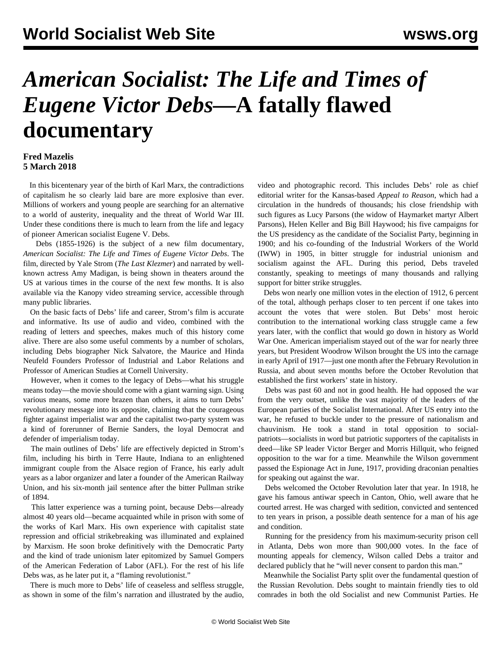## *American Socialist: The Life and Times of Eugene Victor Debs***—A fatally flawed documentary**

## **Fred Mazelis 5 March 2018**

 In this bicentenary year of the birth of Karl Marx, the contradictions of capitalism he so clearly laid bare are more explosive than ever. Millions of workers and young people are searching for an alternative to a world of austerity, inequality and the threat of World War III. Under these conditions there is much to learn from the life and legacy of pioneer American socialist Eugene V. Debs.

 Debs (1855-1926) is the subject of a new film documentary, *American Socialist: The Life and Times of Eugene Victor Debs*. The film, directed by Yale Strom (*The Last Klezmer*) and narrated by wellknown actress Amy Madigan, is being shown in theaters around the US at various times in the course of the next few months. It is also available via the Kanopy video streaming service, accessible through many public libraries.

 On the basic facts of Debs' life and career, Strom's film is accurate and informative. Its use of audio and video, combined with the reading of letters and speeches, makes much of this history come alive. There are also some useful comments by a number of scholars, including Debs biographer Nick Salvatore, the Maurice and Hinda Neufeld Founders Professor of Industrial and Labor Relations and Professor of American Studies at Cornell University.

 However, when it comes to the legacy of Debs—what his struggle means today—the movie should come with a giant warning sign. Using various means, some more brazen than others, it aims to turn Debs' revolutionary message into its opposite, claiming that the courageous fighter against imperialist war and the capitalist two-party system was a kind of forerunner of Bernie Sanders, the loyal Democrat and defender of imperialism today.

 The main outlines of Debs' life are effectively depicted in Strom's film, including his birth in Terre Haute, Indiana to an enlightened immigrant couple from the Alsace region of France, his early adult years as a labor organizer and later a founder of the American Railway Union, and his six-month jail sentence after the bitter Pullman strike of 1894.

 This latter experience was a turning point, because Debs—already almost 40 years old—became acquainted while in prison with some of the works of Karl Marx. His own experience with capitalist state repression and official strikebreaking was illuminated and explained by Marxism. He soon broke definitively with the Democratic Party and the kind of trade unionism later epitomized by Samuel Gompers of the American Federation of Labor (AFL). For the rest of his life Debs was, as he later put it, a "flaming revolutionist."

 There is much more to Debs' life of ceaseless and selfless struggle, as shown in some of the film's narration and illustrated by the audio,

video and photographic record. This includes Debs' role as chief editorial writer for the Kansas-based *Appeal to Reason*, which had a circulation in the hundreds of thousands; his close friendship with such figures as Lucy Parsons (the widow of Haymarket martyr Albert Parsons), Helen Keller and Big Bill Haywood; his five campaigns for the US presidency as the candidate of the Socialist Party, beginning in 1900; and his co-founding of the Industrial Workers of the World (IWW) in 1905, in bitter struggle for industrial unionism and socialism against the AFL. During this period, Debs traveled constantly, speaking to meetings of many thousands and rallying support for bitter strike struggles.

 Debs won nearly one million votes in the election of 1912, 6 percent of the total, although perhaps closer to ten percent if one takes into account the votes that were stolen. But Debs' most heroic contribution to the international working class struggle came a few years later, with the conflict that would go down in history as World War One. American imperialism stayed out of the war for nearly three years, but President Woodrow Wilson brought the US into the carnage in early April of 1917—just one month after the February Revolution in Russia, and about seven months before the October Revolution that established the first workers' state in history.

 Debs was past 60 and not in good health. He had opposed the war from the very outset, unlike the vast majority of the leaders of the European parties of the Socialist International. After US entry into the war, he refused to buckle under to the pressure of nationalism and chauvinism. He took a stand in total opposition to socialpatriots—socialists in word but patriotic supporters of the capitalists in deed—like SP leader Victor Berger and Morris Hillquit, who feigned opposition to the war for a time. Meanwhile the Wilson government passed the Espionage Act in June, 1917, providing draconian penalties for speaking out against the war.

 Debs welcomed the October Revolution later that year. In 1918, he gave his famous antiwar speech in Canton, Ohio, well aware that he courted arrest. He was charged with sedition, convicted and sentenced to ten years in prison, a possible death sentence for a man of his age and condition.

 Running for the presidency from his maximum-security prison cell in Atlanta, Debs won more than 900,000 votes. In the face of mounting appeals for clemency, Wilson called Debs a traitor and declared publicly that he "will never consent to pardon this man."

 Meanwhile the Socialist Party split over the fundamental question of the Russian Revolution. Debs sought to maintain friendly ties to old comrades in both the old Socialist and new Communist Parties. He